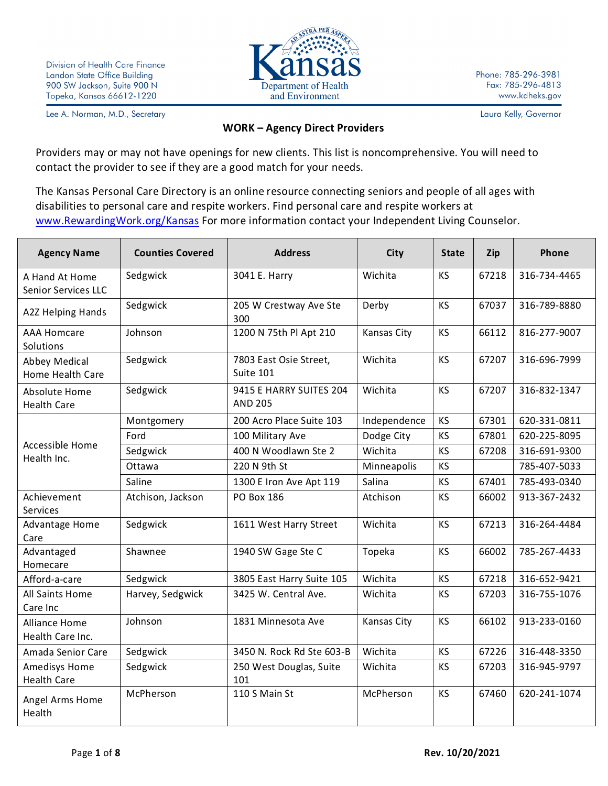

Phone: 785-296-3981 Fax: 785-296-4813 www.kdheks.gov

Lee A. Norman, M.D., Secretary

Laura Kelly, Governor

## **WORK – Agency Direct Providers**

Providers may or may not have openings for new clients. This list is noncomprehensive. You will need to contact the provider to see if they are a good match for your needs.

The Kansas Personal Care Directory is an online resource connecting seniors and people of all ages with disabilities to personal care and respite workers. Find personal care and respite workers at [www.RewardingWork.org/Kansas](http://www.rewardingwork.org/Kansas) For more information contact your Independent Living Counselor.

| <b>Agency Name</b>                       | <b>Counties Covered</b> | <b>Address</b>                            | City         | <b>State</b> | Zip   | Phone        |
|------------------------------------------|-------------------------|-------------------------------------------|--------------|--------------|-------|--------------|
| A Hand At Home<br>Senior Services LLC    | Sedgwick                | 3041 E. Harry                             | Wichita      | <b>KS</b>    | 67218 | 316-734-4465 |
| <b>A2Z Helping Hands</b>                 | Sedgwick                | 205 W Crestway Ave Ste<br>300             | Derby        | <b>KS</b>    | 67037 | 316-789-8880 |
| <b>AAA Homcare</b><br>Solutions          | Johnson                 | 1200 N 75th Pl Apt 210                    | Kansas City  | <b>KS</b>    | 66112 | 816-277-9007 |
| Abbey Medical<br>Home Health Care        | Sedgwick                | 7803 East Osie Street,<br>Suite 101       | Wichita      | <b>KS</b>    | 67207 | 316-696-7999 |
| Absolute Home<br><b>Health Care</b>      | Sedgwick                | 9415 E HARRY SUITES 204<br><b>AND 205</b> | Wichita      | <b>KS</b>    | 67207 | 316-832-1347 |
|                                          | Montgomery              | 200 Acro Place Suite 103                  | Independence | <b>KS</b>    | 67301 | 620-331-0811 |
|                                          | Ford                    | 100 Military Ave                          | Dodge City   | KS           | 67801 | 620-225-8095 |
| Accessible Home<br>Health Inc.           | Sedgwick                | 400 N Woodlawn Ste 2                      | Wichita      | <b>KS</b>    | 67208 | 316-691-9300 |
|                                          | Ottawa                  | 220 N 9th St                              | Minneapolis  | KS           |       | 785-407-5033 |
|                                          | Saline                  | 1300 E Iron Ave Apt 119                   | Salina       | <b>KS</b>    | 67401 | 785-493-0340 |
| Achievement<br><b>Services</b>           | Atchison, Jackson       | PO Box 186                                | Atchison     | <b>KS</b>    | 66002 | 913-367-2432 |
| Advantage Home<br>Care                   | Sedgwick                | 1611 West Harry Street                    | Wichita      | <b>KS</b>    | 67213 | 316-264-4484 |
| Advantaged<br>Homecare                   | Shawnee                 | 1940 SW Gage Ste C                        | Topeka       | <b>KS</b>    | 66002 | 785-267-4433 |
| Afford-a-care                            | Sedgwick                | 3805 East Harry Suite 105                 | Wichita      | <b>KS</b>    | 67218 | 316-652-9421 |
| All Saints Home<br>Care Inc              | Harvey, Sedgwick        | 3425 W. Central Ave.                      | Wichita      | <b>KS</b>    | 67203 | 316-755-1076 |
| <b>Alliance Home</b><br>Health Care Inc. | Johnson                 | 1831 Minnesota Ave                        | Kansas City  | <b>KS</b>    | 66102 | 913-233-0160 |
| Amada Senior Care                        | Sedgwick                | 3450 N. Rock Rd Ste 603-B                 | Wichita      | <b>KS</b>    | 67226 | 316-448-3350 |
| Amedisys Home<br><b>Health Care</b>      | Sedgwick                | 250 West Douglas, Suite<br>101            | Wichita      | <b>KS</b>    | 67203 | 316-945-9797 |
| Angel Arms Home<br>Health                | McPherson               | 110 S Main St                             | McPherson    | <b>KS</b>    | 67460 | 620-241-1074 |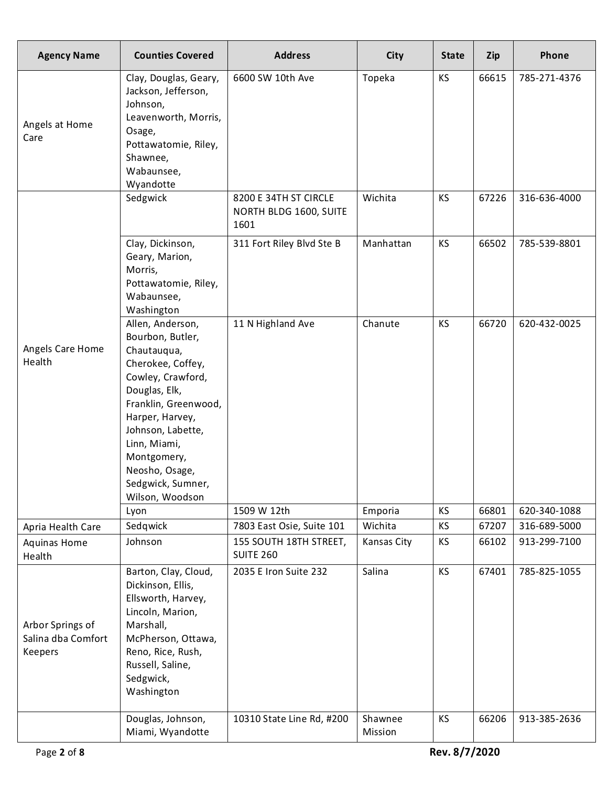| <b>Agency Name</b>                                | <b>Counties Covered</b>                                                                                                                                                                                                                                                 | <b>Address</b>                                          | <b>City</b>        | <b>State</b>    | Zip            | Phone                        |
|---------------------------------------------------|-------------------------------------------------------------------------------------------------------------------------------------------------------------------------------------------------------------------------------------------------------------------------|---------------------------------------------------------|--------------------|-----------------|----------------|------------------------------|
| Angels at Home<br>Care                            | Clay, Douglas, Geary,<br>Jackson, Jefferson,<br>Johnson,<br>Leavenworth, Morris,<br>Osage,<br>Pottawatomie, Riley,<br>Shawnee,<br>Wabaunsee,<br>Wyandotte                                                                                                               | 6600 SW 10th Ave                                        | Topeka             | <b>KS</b>       | 66615          | 785-271-4376                 |
|                                                   | Sedgwick                                                                                                                                                                                                                                                                | 8200 E 34TH ST CIRCLE<br>NORTH BLDG 1600, SUITE<br>1601 | Wichita            | <b>KS</b>       | 67226          | 316-636-4000                 |
|                                                   | Clay, Dickinson,<br>Geary, Marion,<br>Morris,<br>Pottawatomie, Riley,<br>Wabaunsee,<br>Washington                                                                                                                                                                       | 311 Fort Riley Blvd Ste B                               | Manhattan          | <b>KS</b>       | 66502          | 785-539-8801                 |
| Angels Care Home<br>Health                        | Allen, Anderson,<br>Bourbon, Butler,<br>Chautauqua,<br>Cherokee, Coffey,<br>Cowley, Crawford,<br>Douglas, Elk,<br>Franklin, Greenwood,<br>Harper, Harvey,<br>Johnson, Labette,<br>Linn, Miami,<br>Montgomery,<br>Neosho, Osage,<br>Sedgwick, Sumner,<br>Wilson, Woodson | 11 N Highland Ave                                       | Chanute            | <b>KS</b>       | 66720          | 620-432-0025                 |
|                                                   | Lyon<br>Sedqwick                                                                                                                                                                                                                                                        | 1509 W 12th<br>7803 East Osie, Suite 101                | Emporia<br>Wichita | KS<br><b>KS</b> | 66801<br>67207 | 620-340-1088<br>316-689-5000 |
| Apria Health Care<br>Aquinas Home<br>Health       | Johnson                                                                                                                                                                                                                                                                 | 155 SOUTH 18TH STREET,<br><b>SUITE 260</b>              | Kansas City        | <b>KS</b>       | 66102          | 913-299-7100                 |
| Arbor Springs of<br>Salina dba Comfort<br>Keepers | Barton, Clay, Cloud,<br>Dickinson, Ellis,<br>Ellsworth, Harvey,<br>Lincoln, Marion,<br>Marshall,<br>McPherson, Ottawa,<br>Reno, Rice, Rush,<br>Russell, Saline,<br>Sedgwick,<br>Washington                                                                              | 2035 E Iron Suite 232                                   | Salina             | <b>KS</b>       | 67401          | 785-825-1055                 |
|                                                   | Douglas, Johnson,<br>Miami, Wyandotte                                                                                                                                                                                                                                   | 10310 State Line Rd, #200                               | Shawnee<br>Mission | KS              | 66206          | 913-385-2636                 |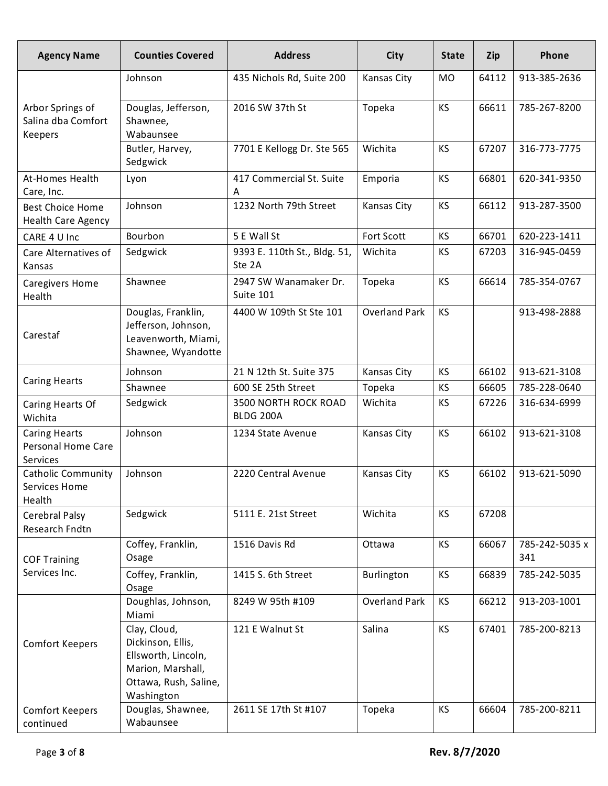| <b>Agency Name</b>                                     | <b>Counties Covered</b>                                                                                              | <b>Address</b>                         | City                 | <b>State</b> | Zip   | Phone                 |
|--------------------------------------------------------|----------------------------------------------------------------------------------------------------------------------|----------------------------------------|----------------------|--------------|-------|-----------------------|
|                                                        | Johnson                                                                                                              | 435 Nichols Rd, Suite 200              | Kansas City          | <b>MO</b>    | 64112 | 913-385-2636          |
| Arbor Springs of<br>Salina dba Comfort<br>Keepers      | Douglas, Jefferson,<br>Shawnee,<br>Wabaunsee                                                                         | 2016 SW 37th St                        | Topeka               | KS           | 66611 | 785-267-8200          |
|                                                        | Butler, Harvey,<br>Sedgwick                                                                                          | 7701 E Kellogg Dr. Ste 565             | Wichita              | KS           | 67207 | 316-773-7775          |
| At-Homes Health<br>Care, Inc.                          | Lyon                                                                                                                 | 417 Commercial St. Suite<br>A          | Emporia              | <b>KS</b>    | 66801 | 620-341-9350          |
| Best Choice Home<br><b>Health Care Agency</b>          | Johnson                                                                                                              | 1232 North 79th Street                 | Kansas City          | <b>KS</b>    | 66112 | 913-287-3500          |
| CARE 4 U Inc                                           | Bourbon                                                                                                              | 5 E Wall St                            | <b>Fort Scott</b>    | <b>KS</b>    | 66701 | 620-223-1411          |
| Care Alternatives of<br>Kansas                         | Sedgwick                                                                                                             | 9393 E. 110th St., Bldg. 51,<br>Ste 2A | Wichita              | KS           | 67203 | 316-945-0459          |
| <b>Caregivers Home</b><br>Health                       | Shawnee                                                                                                              | 2947 SW Wanamaker Dr.<br>Suite 101     | Topeka               | <b>KS</b>    | 66614 | 785-354-0767          |
| Carestaf                                               | Douglas, Franklin,<br>Jefferson, Johnson,<br>Leavenworth, Miami,<br>Shawnee, Wyandotte                               | 4400 W 109th St Ste 101                | <b>Overland Park</b> | <b>KS</b>    |       | 913-498-2888          |
|                                                        | Johnson                                                                                                              | 21 N 12th St. Suite 375                | Kansas City          | KS           | 66102 | 913-621-3108          |
| <b>Caring Hearts</b>                                   | Shawnee                                                                                                              | 600 SE 25th Street                     | Topeka               | <b>KS</b>    | 66605 | 785-228-0640          |
| Caring Hearts Of<br>Wichita                            | Sedgwick                                                                                                             | 3500 NORTH ROCK ROAD<br>BLDG 200A      | Wichita              | KS           | 67226 | 316-634-6999          |
| <b>Caring Hearts</b><br>Personal Home Care<br>Services | Johnson                                                                                                              | 1234 State Avenue                      | Kansas City          | <b>KS</b>    | 66102 | 913-621-3108          |
| <b>Catholic Community</b><br>Services Home<br>Health   | Johnson                                                                                                              | 2220 Central Avenue                    | <b>Kansas City</b>   | <b>KS</b>    | 66102 | 913-621-5090          |
| Cerebral Palsy<br>Research Fndtn                       | Sedgwick                                                                                                             | 5111 E. 21st Street                    | Wichita              | KS           | 67208 |                       |
| <b>COF Training</b>                                    | Coffey, Franklin,<br>Osage                                                                                           | 1516 Davis Rd                          | Ottawa               | <b>KS</b>    | 66067 | 785-242-5035 x<br>341 |
| Services Inc.                                          | Coffey, Franklin,<br>Osage                                                                                           | 1415 S. 6th Street                     | Burlington           | KS           | 66839 | 785-242-5035          |
|                                                        | Doughlas, Johnson,<br>Miami                                                                                          | 8249 W 95th #109                       | <b>Overland Park</b> | <b>KS</b>    | 66212 | 913-203-1001          |
| <b>Comfort Keepers</b>                                 | Clay, Cloud,<br>Dickinson, Ellis,<br>Ellsworth, Lincoln,<br>Marion, Marshall,<br>Ottawa, Rush, Saline,<br>Washington | 121 E Walnut St                        | Salina               | <b>KS</b>    | 67401 | 785-200-8213          |
| <b>Comfort Keepers</b><br>continued                    | Douglas, Shawnee,<br>Wabaunsee                                                                                       | 2611 SE 17th St #107                   | Topeka               | <b>KS</b>    | 66604 | 785-200-8211          |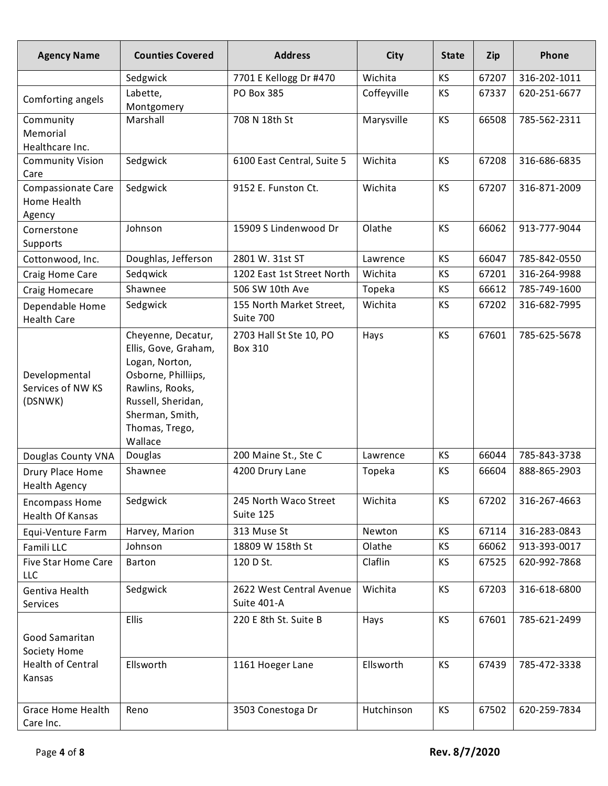| <b>Agency Name</b>                                    | <b>Counties Covered</b>                                                                                                                                                      | <b>Address</b>                                    | City               | <b>State</b>           | Zip            | Phone                        |
|-------------------------------------------------------|------------------------------------------------------------------------------------------------------------------------------------------------------------------------------|---------------------------------------------------|--------------------|------------------------|----------------|------------------------------|
|                                                       | Sedgwick                                                                                                                                                                     | 7701 E Kellogg Dr #470                            | Wichita            | KS                     | 67207          | 316-202-1011                 |
| Comforting angels                                     | Labette,<br>Montgomery                                                                                                                                                       | PO Box 385                                        | Coffeyville        | KS                     | 67337          | 620-251-6677                 |
| Community<br>Memorial<br>Healthcare Inc.              | Marshall                                                                                                                                                                     | 708 N 18th St                                     | Marysville         | KS                     | 66508          | 785-562-2311                 |
| <b>Community Vision</b><br>Care<br>Compassionate Care | Sedgwick<br>Sedgwick                                                                                                                                                         | 6100 East Central, Suite 5<br>9152 E. Funston Ct. | Wichita<br>Wichita | <b>KS</b><br><b>KS</b> | 67208<br>67207 | 316-686-6835<br>316-871-2009 |
| Home Health<br>Agency                                 |                                                                                                                                                                              |                                                   |                    |                        |                |                              |
| Cornerstone<br>Supports                               | Johnson                                                                                                                                                                      | 15909 S Lindenwood Dr                             | Olathe             | <b>KS</b>              | 66062          | 913-777-9044                 |
| Cottonwood, Inc.                                      | Doughlas, Jefferson                                                                                                                                                          | 2801 W. 31st ST                                   | Lawrence           | <b>KS</b>              | 66047          | 785-842-0550                 |
| Craig Home Care                                       | Sedgwick                                                                                                                                                                     | 1202 East 1st Street North                        | Wichita            | KS                     | 67201          | 316-264-9988                 |
| Craig Homecare                                        | Shawnee                                                                                                                                                                      | 506 SW 10th Ave                                   | Topeka             | KS                     | 66612          | 785-749-1600                 |
| Dependable Home<br><b>Health Care</b>                 | Sedgwick                                                                                                                                                                     | 155 North Market Street,<br>Suite 700             | Wichita            | KS                     | 67202          | 316-682-7995                 |
| Developmental<br>Services of NW KS<br>(DSNWK)         | Cheyenne, Decatur,<br>Ellis, Gove, Graham,<br>Logan, Norton,<br>Osborne, Philliips,<br>Rawlins, Rooks,<br>Russell, Sheridan,<br>Sherman, Smith,<br>Thomas, Trego,<br>Wallace | 2703 Hall St Ste 10, PO<br>Box 310                | Hays               | <b>KS</b>              | 67601          | 785-625-5678                 |
| Douglas County VNA                                    | Douglas                                                                                                                                                                      | 200 Maine St., Ste C                              | Lawrence           | KS                     | 66044          | 785-843-3738                 |
| Drury Place Home<br>Health Agency                     | Shawnee                                                                                                                                                                      | 4200 Drury Lane                                   | Topeka             | KS                     | 66604          | 888-865-2903                 |
| <b>Encompass Home</b><br>Health Of Kansas             | Sedgwick                                                                                                                                                                     | 245 North Waco Street<br>Suite 125                | Wichita            | <b>KS</b>              | 67202          | 316-267-4663                 |
| Equi-Venture Farm                                     | Harvey, Marion                                                                                                                                                               | 313 Muse St                                       | Newton             | KS                     | 67114          | 316-283-0843                 |
| Famili LLC                                            | Johnson                                                                                                                                                                      | 18809 W 158th St                                  | Olathe             | KS                     | 66062          | 913-393-0017                 |
| <b>Five Star Home Care</b><br><b>LLC</b>              | <b>Barton</b>                                                                                                                                                                | 120 D St.                                         | Claflin            | <b>KS</b>              | 67525          | 620-992-7868                 |
| Gentiva Health<br>Services                            | Sedgwick                                                                                                                                                                     | 2622 West Central Avenue<br>Suite 401-A           | Wichita            | <b>KS</b>              | 67203          | 316-618-6800                 |
| Good Samaritan<br>Society Home                        | <b>Ellis</b>                                                                                                                                                                 | 220 E 8th St. Suite B                             | Hays               | KS                     | 67601          | 785-621-2499                 |
| Health of Central<br>Kansas                           | Ellsworth                                                                                                                                                                    | 1161 Hoeger Lane                                  | Ellsworth          | KS                     | 67439          | 785-472-3338                 |
| <b>Grace Home Health</b><br>Care Inc.                 | Reno                                                                                                                                                                         | 3503 Conestoga Dr                                 | Hutchinson         | <b>KS</b>              | 67502          | 620-259-7834                 |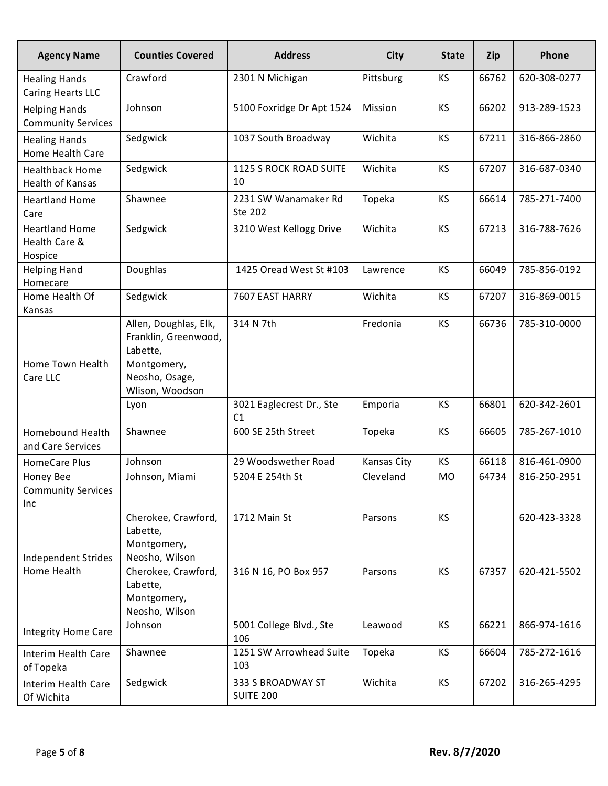| <b>Agency Name</b>                                | <b>Counties Covered</b>                                                                    | <b>Address</b>                             | City               | <b>State</b> | Zip   | Phone        |
|---------------------------------------------------|--------------------------------------------------------------------------------------------|--------------------------------------------|--------------------|--------------|-------|--------------|
| <b>Healing Hands</b><br>Caring Hearts LLC         | Crawford                                                                                   | 2301 N Michigan                            | Pittsburg          | <b>KS</b>    | 66762 | 620-308-0277 |
| <b>Helping Hands</b><br><b>Community Services</b> | Johnson                                                                                    | 5100 Foxridge Dr Apt 1524                  | Mission            | <b>KS</b>    | 66202 | 913-289-1523 |
| <b>Healing Hands</b><br>Home Health Care          | Sedgwick                                                                                   | 1037 South Broadway                        | Wichita            | <b>KS</b>    | 67211 | 316-866-2860 |
| <b>Healthback Home</b><br>Health of Kansas        | Sedgwick                                                                                   | 1125 S ROCK ROAD SUITE<br>10               | Wichita            | <b>KS</b>    | 67207 | 316-687-0340 |
| <b>Heartland Home</b><br>Care                     | Shawnee                                                                                    | 2231 SW Wanamaker Rd<br>Ste 202            | Topeka             | <b>KS</b>    | 66614 | 785-271-7400 |
| <b>Heartland Home</b><br>Health Care &<br>Hospice | Sedgwick                                                                                   | 3210 West Kellogg Drive                    | Wichita            | <b>KS</b>    | 67213 | 316-788-7626 |
| <b>Helping Hand</b><br>Homecare                   | Doughlas                                                                                   | 1425 Oread West St #103                    | Lawrence           | <b>KS</b>    | 66049 | 785-856-0192 |
| Home Health Of<br>Kansas                          | Sedgwick                                                                                   | 7607 EAST HARRY                            | Wichita            | <b>KS</b>    | 67207 | 316-869-0015 |
| Home Town Health<br>Care LLC                      | Allen, Doughlas, Elk,<br>Franklin, Greenwood,<br>Labette,<br>Montgomery,<br>Neosho, Osage, | 314 N 7th                                  | Fredonia           | <b>KS</b>    | 66736 | 785-310-0000 |
|                                                   | Wlison, Woodson<br>Lyon                                                                    | 3021 Eaglecrest Dr., Ste<br>C <sub>1</sub> | Emporia            | KS           | 66801 | 620-342-2601 |
| Homebound Health<br>and Care Services             | Shawnee                                                                                    | 600 SE 25th Street                         | Topeka             | KS           | 66605 | 785-267-1010 |
| <b>HomeCare Plus</b>                              | Johnson                                                                                    | 29 Woodswether Road                        | <b>Kansas City</b> | <b>KS</b>    | 66118 | 816-461-0900 |
| Honey Bee<br><b>Community Services</b><br>Inc     | Johnson, Miami                                                                             | 5204 E 254th St                            | Cleveland          | <b>MO</b>    | 64734 | 816-250-2951 |
| Independent Strides                               | Cherokee, Crawford,<br>Labette,<br>Montgomery,<br>Neosho, Wilson                           | 1712 Main St                               | Parsons            | KS           |       | 620-423-3328 |
| Home Health                                       | Cherokee, Crawford,<br>Labette,<br>Montgomery,<br>Neosho, Wilson                           | 316 N 16, PO Box 957                       | Parsons            | <b>KS</b>    | 67357 | 620-421-5502 |
| <b>Integrity Home Care</b>                        | Johnson                                                                                    | 5001 College Blvd., Ste<br>106             | Leawood            | <b>KS</b>    | 66221 | 866-974-1616 |
| Interim Health Care<br>of Topeka                  | Shawnee                                                                                    | 1251 SW Arrowhead Suite<br>103             | Topeka             | <b>KS</b>    | 66604 | 785-272-1616 |
| Interim Health Care<br>Of Wichita                 | Sedgwick                                                                                   | 333 S BROADWAY ST<br><b>SUITE 200</b>      | Wichita            | <b>KS</b>    | 67202 | 316-265-4295 |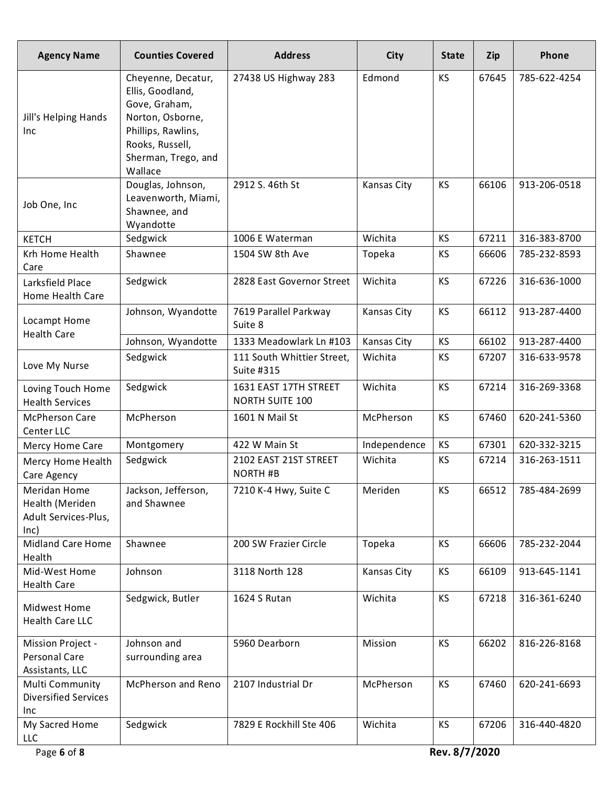| <b>Agency Name</b>                                              | <b>Counties Covered</b>                                                                                                                                | <b>Address</b>                                  | City               | <b>State</b> | Zip   | Phone        |
|-----------------------------------------------------------------|--------------------------------------------------------------------------------------------------------------------------------------------------------|-------------------------------------------------|--------------------|--------------|-------|--------------|
| Jill's Helping Hands<br>Inc                                     | Cheyenne, Decatur,<br>Ellis, Goodland,<br>Gove, Graham,<br>Norton, Osborne,<br>Phillips, Rawlins,<br>Rooks, Russell,<br>Sherman, Trego, and<br>Wallace | 27438 US Highway 283                            | Edmond             | <b>KS</b>    | 67645 | 785-622-4254 |
| Job One, Inc                                                    | Douglas, Johnson,<br>Leavenworth, Miami,<br>Shawnee, and<br>Wyandotte                                                                                  | 2912 S. 46th St                                 | Kansas City        | <b>KS</b>    | 66106 | 913-206-0518 |
| <b>KETCH</b>                                                    | Sedgwick                                                                                                                                               | 1006 E Waterman                                 | Wichita            | <b>KS</b>    | 67211 | 316-383-8700 |
| Krh Home Health<br>Care                                         | Shawnee                                                                                                                                                | 1504 SW 8th Ave                                 | Topeka             | <b>KS</b>    | 66606 | 785-232-8593 |
| Larksfield Place<br>Home Health Care                            | Sedgwick                                                                                                                                               | 2828 East Governor Street                       | Wichita            | <b>KS</b>    | 67226 | 316-636-1000 |
| Locampt Home<br><b>Health Care</b>                              | Johnson, Wyandotte                                                                                                                                     | 7619 Parallel Parkway<br>Suite 8                | Kansas City        | <b>KS</b>    | 66112 | 913-287-4400 |
|                                                                 | Johnson, Wyandotte                                                                                                                                     | 1333 Meadowlark Ln #103                         | <b>Kansas City</b> | KS           | 66102 | 913-287-4400 |
| Love My Nurse                                                   | Sedgwick                                                                                                                                               | 111 South Whittier Street,<br>Suite #315        | Wichita            | KS           | 67207 | 316-633-9578 |
| Loving Touch Home<br><b>Health Services</b>                     | Sedgwick                                                                                                                                               | 1631 EAST 17TH STREET<br><b>NORTH SUITE 100</b> | Wichita            | <b>KS</b>    | 67214 | 316-269-3368 |
| <b>McPherson Care</b><br>Center LLC                             | McPherson                                                                                                                                              | 1601 N Mail St                                  | McPherson          | <b>KS</b>    | 67460 | 620-241-5360 |
| Mercy Home Care                                                 | Montgomery                                                                                                                                             | 422 W Main St                                   | Independence       | KS           | 67301 | 620-332-3215 |
| Mercy Home Health<br>Care Agency                                | Sedgwick                                                                                                                                               | 2102 EAST 21ST STREET<br><b>NORTH #B</b>        | Wichita            | <b>KS</b>    | 67214 | 316-263-1511 |
| Meridan Home<br>Health (Meriden<br>Adult Services-Plus,<br>lnc) | Jackson, Jefferson,<br>and Shawnee                                                                                                                     | 7210 K-4 Hwy, Suite C                           | Meriden            | KS           | 66512 | 785-484-2699 |
| <b>Midland Care Home</b><br>Health<br>Mid-West Home             | Shawnee                                                                                                                                                | 200 SW Frazier Circle                           | Topeka             | KS           | 66606 | 785-232-2044 |
| <b>Health Care</b>                                              | Johnson                                                                                                                                                | 3118 North 128                                  | Kansas City        | <b>KS</b>    | 66109 | 913-645-1141 |
| Midwest Home<br>Health Care LLC                                 | Sedgwick, Butler                                                                                                                                       | 1624 S Rutan                                    | Wichita            | <b>KS</b>    | 67218 | 316-361-6240 |
| Mission Project -<br>Personal Care<br>Assistants, LLC           | Johnson and<br>surrounding area                                                                                                                        | 5960 Dearborn                                   | Mission            | <b>KS</b>    | 66202 | 816-226-8168 |
| Multi Community<br><b>Diversified Services</b><br>Inc           | McPherson and Reno                                                                                                                                     | 2107 Industrial Dr                              | McPherson          | <b>KS</b>    | 67460 | 620-241-6693 |
| My Sacred Home<br>LLC                                           | Sedgwick                                                                                                                                               | 7829 E Rockhill Ste 406                         | Wichita            | <b>KS</b>    | 67206 | 316-440-4820 |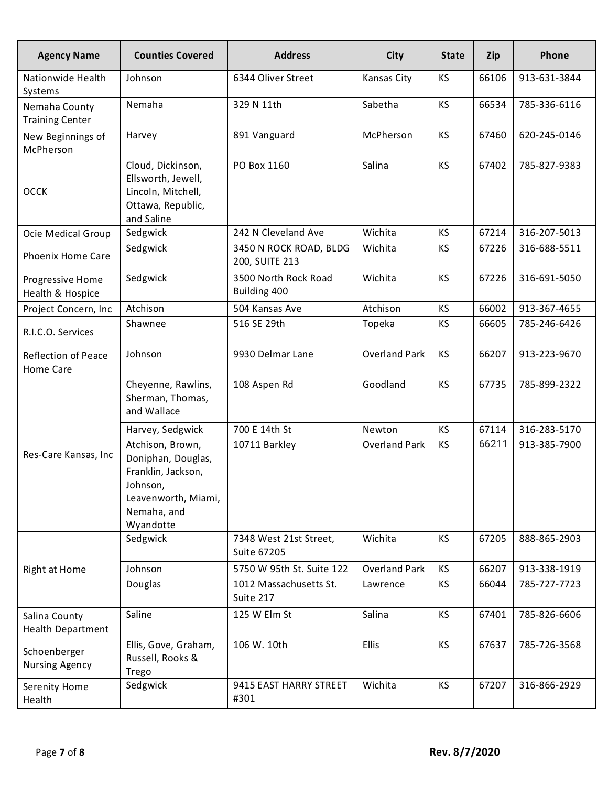| <b>Agency Name</b>                      | <b>Counties Covered</b>                                                                                                     | <b>Address</b>                           | <b>City</b>          | <b>State</b> | Zip   | Phone        |
|-----------------------------------------|-----------------------------------------------------------------------------------------------------------------------------|------------------------------------------|----------------------|--------------|-------|--------------|
| Nationwide Health<br>Systems            | Johnson                                                                                                                     | 6344 Oliver Street                       | Kansas City          | KS           | 66106 | 913-631-3844 |
| Nemaha County<br><b>Training Center</b> | Nemaha                                                                                                                      | 329 N 11th                               | Sabetha              | <b>KS</b>    | 66534 | 785-336-6116 |
| New Beginnings of<br>McPherson          | Harvey                                                                                                                      | 891 Vanguard                             | McPherson            | <b>KS</b>    | 67460 | 620-245-0146 |
| <b>OCCK</b>                             | Cloud, Dickinson,<br>Ellsworth, Jewell,<br>Lincoln, Mitchell,<br>Ottawa, Republic,<br>and Saline                            | PO Box 1160                              | Salina               | <b>KS</b>    | 67402 | 785-827-9383 |
| Ocie Medical Group                      | Sedgwick                                                                                                                    | 242 N Cleveland Ave                      | Wichita              | <b>KS</b>    | 67214 | 316-207-5013 |
| <b>Phoenix Home Care</b>                | Sedgwick                                                                                                                    | 3450 N ROCK ROAD, BLDG<br>200, SUITE 213 | Wichita              | <b>KS</b>    | 67226 | 316-688-5511 |
| Progressive Home<br>Health & Hospice    | Sedgwick                                                                                                                    | 3500 North Rock Road<br>Building 400     | Wichita              | <b>KS</b>    | 67226 | 316-691-5050 |
| Project Concern, Inc                    | Atchison                                                                                                                    | 504 Kansas Ave                           | Atchison             | <b>KS</b>    | 66002 | 913-367-4655 |
| R.I.C.O. Services                       | Shawnee                                                                                                                     | 516 SE 29th                              | Topeka               | <b>KS</b>    | 66605 | 785-246-6426 |
| <b>Reflection of Peace</b><br>Home Care | Johnson                                                                                                                     | 9930 Delmar Lane                         | <b>Overland Park</b> | <b>KS</b>    | 66207 | 913-223-9670 |
|                                         | Cheyenne, Rawlins,<br>Sherman, Thomas,<br>and Wallace                                                                       | 108 Aspen Rd                             | Goodland             | <b>KS</b>    | 67735 | 785-899-2322 |
|                                         | Harvey, Sedgwick                                                                                                            | 700 E 14th St                            | Newton               | <b>KS</b>    | 67114 | 316-283-5170 |
| Res-Care Kansas, Inc                    | Atchison, Brown,<br>Doniphan, Douglas,<br>Franklin, Jackson,<br>Johnson,<br>Leavenworth, Miami,<br>Nemaha, and<br>Wyandotte | 10711 Barkley                            | <b>Overland Park</b> | <b>KS</b>    | 66211 | 913-385-7900 |
|                                         | Sedgwick                                                                                                                    | 7348 West 21st Street,<br>Suite 67205    | Wichita              | <b>KS</b>    | 67205 | 888-865-2903 |
| Right at Home                           | Johnson                                                                                                                     | 5750 W 95th St. Suite 122                | <b>Overland Park</b> | <b>KS</b>    | 66207 | 913-338-1919 |
|                                         | Douglas                                                                                                                     | 1012 Massachusetts St.<br>Suite 217      | Lawrence             | <b>KS</b>    | 66044 | 785-727-7723 |
| Salina County<br>Health Department      | Saline                                                                                                                      | 125 W Elm St                             | Salina               | <b>KS</b>    | 67401 | 785-826-6606 |
| Schoenberger<br><b>Nursing Agency</b>   | Ellis, Gove, Graham,<br>Russell, Rooks &<br>Trego                                                                           | 106 W. 10th                              | <b>Ellis</b>         | <b>KS</b>    | 67637 | 785-726-3568 |
| Serenity Home<br>Health                 | Sedgwick                                                                                                                    | 9415 EAST HARRY STREET<br>#301           | Wichita              | KS           | 67207 | 316-866-2929 |